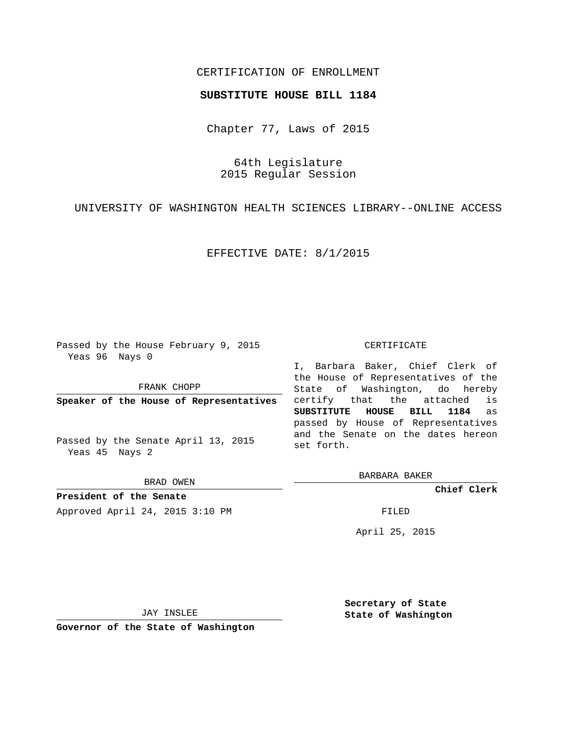## CERTIFICATION OF ENROLLMENT

## **SUBSTITUTE HOUSE BILL 1184**

Chapter 77, Laws of 2015

64th Legislature 2015 Regular Session

UNIVERSITY OF WASHINGTON HEALTH SCIENCES LIBRARY--ONLINE ACCESS

EFFECTIVE DATE: 8/1/2015

Passed by the House February 9, 2015 Yeas 96 Nays 0

FRANK CHOPP

**Speaker of the House of Representatives**

Passed by the Senate April 13, 2015 Yeas 45 Nays 2

BRAD OWEN

**President of the Senate** Approved April 24, 2015 3:10 PM FILED

## CERTIFICATE

I, Barbara Baker, Chief Clerk of the House of Representatives of the State of Washington, do hereby certify that the attached is **SUBSTITUTE HOUSE BILL 1184** as passed by House of Representatives and the Senate on the dates hereon set forth.

BARBARA BAKER

**Chief Clerk**

April 25, 2015

JAY INSLEE

**Governor of the State of Washington**

**Secretary of State State of Washington**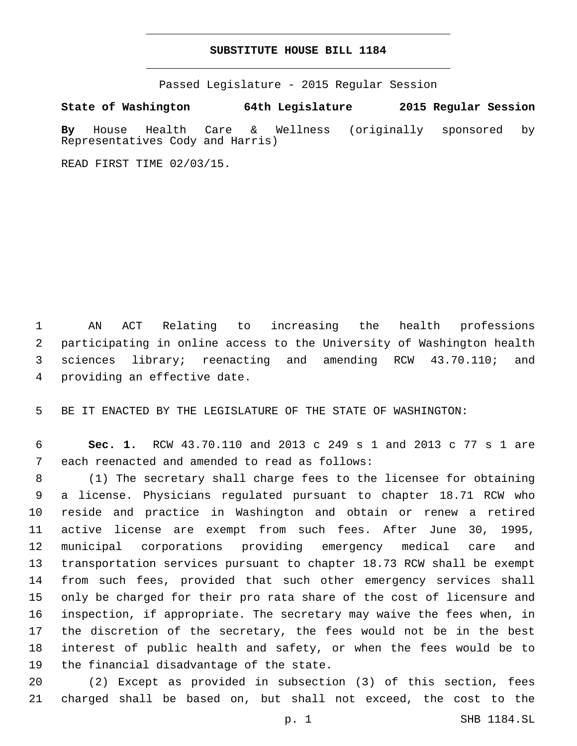## **SUBSTITUTE HOUSE BILL 1184**

Passed Legislature - 2015 Regular Session

**State of Washington 64th Legislature 2015 Regular Session**

**By** House Health Care & Wellness (originally sponsored by Representatives Cody and Harris)

READ FIRST TIME 02/03/15.

 AN ACT Relating to increasing the health professions participating in online access to the University of Washington health sciences library; reenacting and amending RCW 43.70.110; and 4 providing an effective date.

BE IT ENACTED BY THE LEGISLATURE OF THE STATE OF WASHINGTON:

 **Sec. 1.** RCW 43.70.110 and 2013 c 249 s 1 and 2013 c 77 s 1 are 7 each reenacted and amended to read as follows:

 (1) The secretary shall charge fees to the licensee for obtaining a license. Physicians regulated pursuant to chapter 18.71 RCW who reside and practice in Washington and obtain or renew a retired active license are exempt from such fees. After June 30, 1995, municipal corporations providing emergency medical care and transportation services pursuant to chapter 18.73 RCW shall be exempt from such fees, provided that such other emergency services shall only be charged for their pro rata share of the cost of licensure and inspection, if appropriate. The secretary may waive the fees when, in the discretion of the secretary, the fees would not be in the best interest of public health and safety, or when the fees would be to 19 the financial disadvantage of the state.

 (2) Except as provided in subsection (3) of this section, fees charged shall be based on, but shall not exceed, the cost to the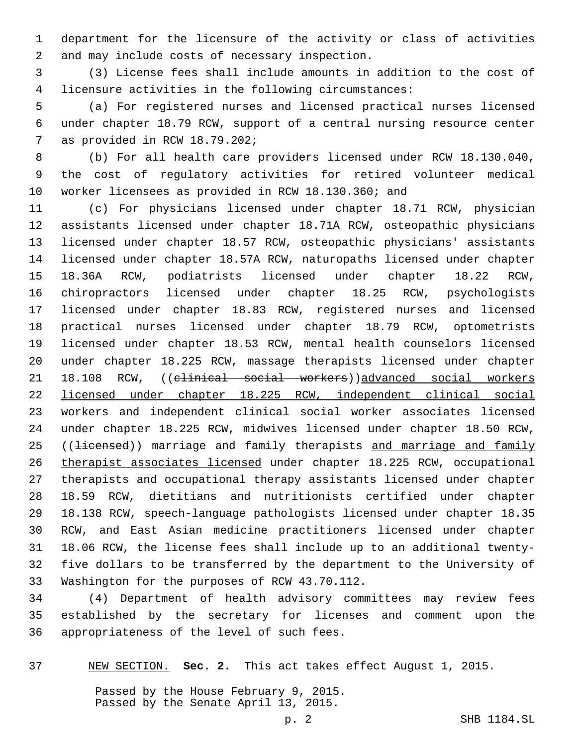department for the licensure of the activity or class of activities 2 and may include costs of necessary inspection.

 (3) License fees shall include amounts in addition to the cost of licensure activities in the following circumstances:

 (a) For registered nurses and licensed practical nurses licensed under chapter 18.79 RCW, support of a central nursing resource center 7 as provided in RCW 18.79.202;

 (b) For all health care providers licensed under RCW 18.130.040, the cost of regulatory activities for retired volunteer medical worker licensees as provided in RCW 18.130.360; and

 (c) For physicians licensed under chapter 18.71 RCW, physician assistants licensed under chapter 18.71A RCW, osteopathic physicians licensed under chapter 18.57 RCW, osteopathic physicians' assistants licensed under chapter 18.57A RCW, naturopaths licensed under chapter 18.36A RCW, podiatrists licensed under chapter 18.22 RCW, chiropractors licensed under chapter 18.25 RCW, psychologists licensed under chapter 18.83 RCW, registered nurses and licensed practical nurses licensed under chapter 18.79 RCW, optometrists licensed under chapter 18.53 RCW, mental health counselors licensed under chapter 18.225 RCW, massage therapists licensed under chapter 18.108 RCW, ((clinical social workers))advanced social workers licensed under chapter 18.225 RCW, independent clinical social workers and independent clinical social worker associates licensed under chapter 18.225 RCW, midwives licensed under chapter 18.50 RCW, 25 ((<del>licensed</del>)) marriage and family therapists and marriage and family therapist associates licensed under chapter 18.225 RCW, occupational therapists and occupational therapy assistants licensed under chapter 18.59 RCW, dietitians and nutritionists certified under chapter 18.138 RCW, speech-language pathologists licensed under chapter 18.35 RCW, and East Asian medicine practitioners licensed under chapter 18.06 RCW, the license fees shall include up to an additional twenty- five dollars to be transferred by the department to the University of 33 Washington for the purposes of RCW 43.70.112.

 (4) Department of health advisory committees may review fees established by the secretary for licenses and comment upon the 36 appropriateness of the level of such fees.

NEW SECTION. **Sec. 2.** This act takes effect August 1, 2015.

Passed by the House February 9, 2015. Passed by the Senate April 13, 2015.